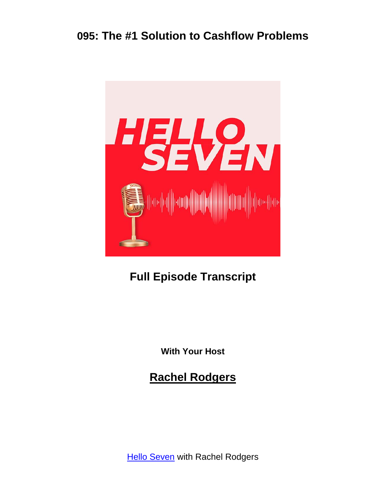

# **Full Episode Transcript**

**With Your Host**

**Rachel Rodgers**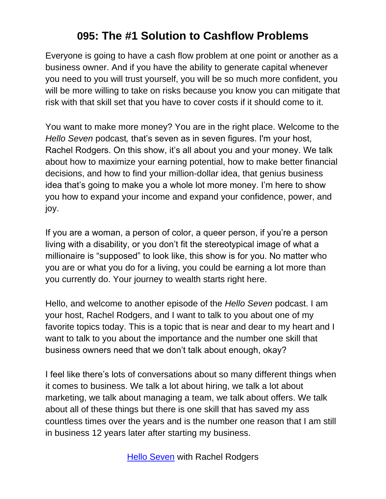Everyone is going to have a cash flow problem at one point or another as a business owner. And if you have the ability to generate capital whenever you need to you will trust yourself, you will be so much more confident, you will be more willing to take on risks because you know you can mitigate that risk with that skill set that you have to cover costs if it should come to it.

You want to make more money? You are in the right place. Welcome to the *Hello Seven* podcast*,* that's seven as in seven figures. I'm your host, Rachel Rodgers. On this show, it's all about you and your money. We talk about how to maximize your earning potential, how to make better financial decisions, and how to find your million-dollar idea, that genius business idea that's going to make you a whole lot more money. I'm here to show you how to expand your income and expand your confidence, power, and joy.

If you are a woman, a person of color, a queer person, if you're a person living with a disability, or you don't fit the stereotypical image of what a millionaire is "supposed" to look like, this show is for you. No matter who you are or what you do for a living, you could be earning a lot more than you currently do. Your journey to wealth starts right here.

Hello, and welcome to another episode of the *Hello Seven* podcast. I am your host, Rachel Rodgers, and I want to talk to you about one of my favorite topics today. This is a topic that is near and dear to my heart and I want to talk to you about the importance and the number one skill that business owners need that we don't talk about enough, okay?

I feel like there's lots of conversations about so many different things when it comes to business. We talk a lot about hiring, we talk a lot about marketing, we talk about managing a team, we talk about offers. We talk about all of these things but there is one skill that has saved my ass countless times over the years and is the number one reason that I am still in business 12 years later after starting my business.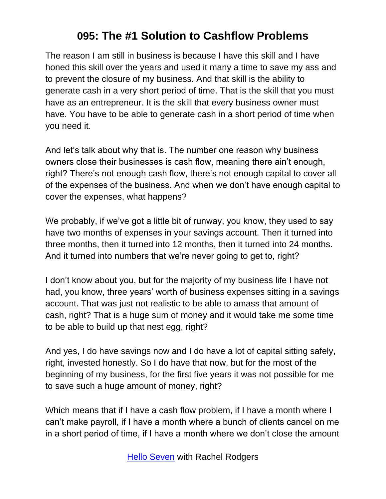The reason I am still in business is because I have this skill and I have honed this skill over the years and used it many a time to save my ass and to prevent the closure of my business. And that skill is the ability to generate cash in a very short period of time. That is the skill that you must have as an entrepreneur. It is the skill that every business owner must have. You have to be able to generate cash in a short period of time when you need it.

And let's talk about why that is. The number one reason why business owners close their businesses is cash flow, meaning there ain't enough, right? There's not enough cash flow, there's not enough capital to cover all of the expenses of the business. And when we don't have enough capital to cover the expenses, what happens?

We probably, if we've got a little bit of runway, you know, they used to say have two months of expenses in your savings account. Then it turned into three months, then it turned into 12 months, then it turned into 24 months. And it turned into numbers that we're never going to get to, right?

I don't know about you, but for the majority of my business life I have not had, you know, three years' worth of business expenses sitting in a savings account. That was just not realistic to be able to amass that amount of cash, right? That is a huge sum of money and it would take me some time to be able to build up that nest egg, right?

And yes, I do have savings now and I do have a lot of capital sitting safely, right, invested honestly. So I do have that now, but for the most of the beginning of my business, for the first five years it was not possible for me to save such a huge amount of money, right?

Which means that if I have a cash flow problem, if I have a month where I can't make payroll, if I have a month where a bunch of clients cancel on me in a short period of time, if I have a month where we don't close the amount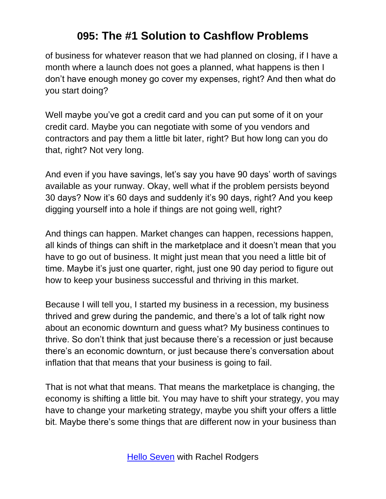of business for whatever reason that we had planned on closing, if I have a month where a launch does not goes a planned, what happens is then I don't have enough money go cover my expenses, right? And then what do you start doing?

Well maybe you've got a credit card and you can put some of it on your credit card. Maybe you can negotiate with some of you vendors and contractors and pay them a little bit later, right? But how long can you do that, right? Not very long.

And even if you have savings, let's say you have 90 days' worth of savings available as your runway. Okay, well what if the problem persists beyond 30 days? Now it's 60 days and suddenly it's 90 days, right? And you keep digging yourself into a hole if things are not going well, right?

And things can happen. Market changes can happen, recessions happen, all kinds of things can shift in the marketplace and it doesn't mean that you have to go out of business. It might just mean that you need a little bit of time. Maybe it's just one quarter, right, just one 90 day period to figure out how to keep your business successful and thriving in this market.

Because I will tell you, I started my business in a recession, my business thrived and grew during the pandemic, and there's a lot of talk right now about an economic downturn and guess what? My business continues to thrive. So don't think that just because there's a recession or just because there's an economic downturn, or just because there's conversation about inflation that that means that your business is going to fail.

That is not what that means. That means the marketplace is changing, the economy is shifting a little bit. You may have to shift your strategy, you may have to change your marketing strategy, maybe you shift your offers a little bit. Maybe there's some things that are different now in your business than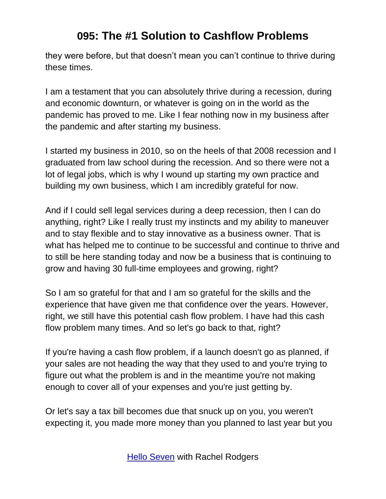they were before, but that doesn't mean you can't continue to thrive during these times.

I am a testament that you can absolutely thrive during a recession, during and economic downturn, or whatever is going on in the world as the pandemic has proved to me. Like I fear nothing now in my business after the pandemic and after starting my business.

I started my business in 2010, so on the heels of that 2008 recession and I graduated from law school during the recession. And so there were not a lot of legal jobs, which is why I wound up starting my own practice and building my own business, which I am incredibly grateful for now.

And if I could sell legal services during a deep recession, then I can do anything, right? Like I really trust my instincts and my ability to maneuver and to stay flexible and to stay innovative as a business owner. That is what has helped me to continue to be successful and continue to thrive and to still be here standing today and now be a business that is continuing to grow and having 30 full-time employees and growing, right?

So I am so grateful for that and I am so grateful for the skills and the experience that have given me that confidence over the years. However, right, we still have this potential cash flow problem. I have had this cash flow problem many times. And so let's go back to that, right?

If you're having a cash flow problem, if a launch doesn't go as planned, if your sales are not heading the way that they used to and you're trying to figure out what the problem is and in the meantime you're not making enough to cover all of your expenses and you're just getting by.

Or let's say a tax bill becomes due that snuck up on you, you weren't expecting it, you made more money than you planned to last year but you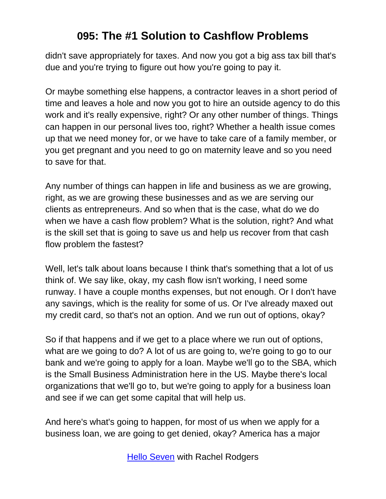didn't save appropriately for taxes. And now you got a big ass tax bill that's due and you're trying to figure out how you're going to pay it.

Or maybe something else happens, a contractor leaves in a short period of time and leaves a hole and now you got to hire an outside agency to do this work and it's really expensive, right? Or any other number of things. Things can happen in our personal lives too, right? Whether a health issue comes up that we need money for, or we have to take care of a family member, or you get pregnant and you need to go on maternity leave and so you need to save for that.

Any number of things can happen in life and business as we are growing, right, as we are growing these businesses and as we are serving our clients as entrepreneurs. And so when that is the case, what do we do when we have a cash flow problem? What is the solution, right? And what is the skill set that is going to save us and help us recover from that cash flow problem the fastest?

Well, let's talk about loans because I think that's something that a lot of us think of. We say like, okay, my cash flow isn't working, I need some runway. I have a couple months expenses, but not enough. Or I don't have any savings, which is the reality for some of us. Or I've already maxed out my credit card, so that's not an option. And we run out of options, okay?

So if that happens and if we get to a place where we run out of options, what are we going to do? A lot of us are going to, we're going to go to our bank and we're going to apply for a loan. Maybe we'll go to the SBA, which is the Small Business Administration here in the US. Maybe there's local organizations that we'll go to, but we're going to apply for a business loan and see if we can get some capital that will help us.

And here's what's going to happen, for most of us when we apply for a business loan, we are going to get denied, okay? America has a major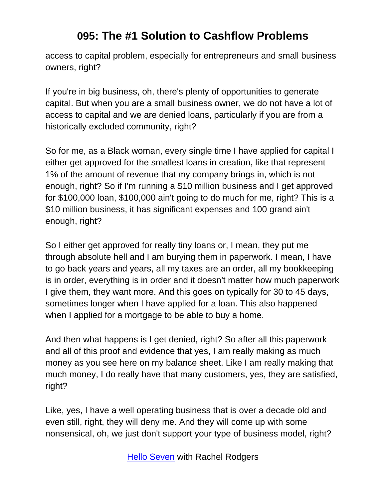access to capital problem, especially for entrepreneurs and small business owners, right?

If you're in big business, oh, there's plenty of opportunities to generate capital. But when you are a small business owner, we do not have a lot of access to capital and we are denied loans, particularly if you are from a historically excluded community, right?

So for me, as a Black woman, every single time I have applied for capital I either get approved for the smallest loans in creation, like that represent 1% of the amount of revenue that my company brings in, which is not enough, right? So if I'm running a \$10 million business and I get approved for \$100,000 loan, \$100,000 ain't going to do much for me, right? This is a \$10 million business, it has significant expenses and 100 grand ain't enough, right?

So I either get approved for really tiny loans or, I mean, they put me through absolute hell and I am burying them in paperwork. I mean, I have to go back years and years, all my taxes are an order, all my bookkeeping is in order, everything is in order and it doesn't matter how much paperwork I give them, they want more. And this goes on typically for 30 to 45 days, sometimes longer when I have applied for a loan. This also happened when I applied for a mortgage to be able to buy a home.

And then what happens is I get denied, right? So after all this paperwork and all of this proof and evidence that yes, I am really making as much money as you see here on my balance sheet. Like I am really making that much money, I do really have that many customers, yes, they are satisfied, right?

Like, yes, I have a well operating business that is over a decade old and even still, right, they will deny me. And they will come up with some nonsensical, oh, we just don't support your type of business model, right?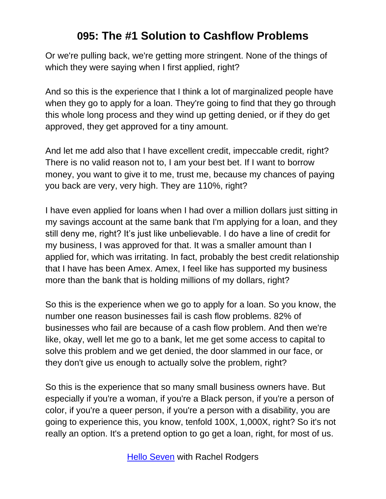Or we're pulling back, we're getting more stringent. None of the things of which they were saying when I first applied, right?

And so this is the experience that I think a lot of marginalized people have when they go to apply for a loan. They're going to find that they go through this whole long process and they wind up getting denied, or if they do get approved, they get approved for a tiny amount.

And let me add also that I have excellent credit, impeccable credit, right? There is no valid reason not to, I am your best bet. If I want to borrow money, you want to give it to me, trust me, because my chances of paying you back are very, very high. They are 110%, right?

I have even applied for loans when I had over a million dollars just sitting in my savings account at the same bank that I'm applying for a loan, and they still deny me, right? It's just like unbelievable. I do have a line of credit for my business, I was approved for that. It was a smaller amount than I applied for, which was irritating. In fact, probably the best credit relationship that I have has been Amex. Amex, I feel like has supported my business more than the bank that is holding millions of my dollars, right?

So this is the experience when we go to apply for a loan. So you know, the number one reason businesses fail is cash flow problems. 82% of businesses who fail are because of a cash flow problem. And then we're like, okay, well let me go to a bank, let me get some access to capital to solve this problem and we get denied, the door slammed in our face, or they don't give us enough to actually solve the problem, right?

So this is the experience that so many small business owners have. But especially if you're a woman, if you're a Black person, if you're a person of color, if you're a queer person, if you're a person with a disability, you are going to experience this, you know, tenfold 100X, 1,000X, right? So it's not really an option. It's a pretend option to go get a loan, right, for most of us.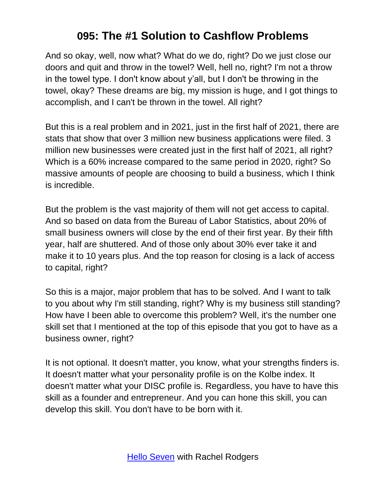And so okay, well, now what? What do we do, right? Do we just close our doors and quit and throw in the towel? Well, hell no, right? I'm not a throw in the towel type. I don't know about y'all, but I don't be throwing in the towel, okay? These dreams are big, my mission is huge, and I got things to accomplish, and I can't be thrown in the towel. All right?

But this is a real problem and in 2021, just in the first half of 2021, there are stats that show that over 3 million new business applications were filed. 3 million new businesses were created just in the first half of 2021, all right? Which is a 60% increase compared to the same period in 2020, right? So massive amounts of people are choosing to build a business, which I think is incredible.

But the problem is the vast majority of them will not get access to capital. And so based on data from the Bureau of Labor Statistics, about 20% of small business owners will close by the end of their first year. By their fifth year, half are shuttered. And of those only about 30% ever take it and make it to 10 years plus. And the top reason for closing is a lack of access to capital, right?

So this is a major, major problem that has to be solved. And I want to talk to you about why I'm still standing, right? Why is my business still standing? How have I been able to overcome this problem? Well, it's the number one skill set that I mentioned at the top of this episode that you got to have as a business owner, right?

It is not optional. It doesn't matter, you know, what your strengths finders is. It doesn't matter what your personality profile is on the Kolbe index. It doesn't matter what your DISC profile is. Regardless, you have to have this skill as a founder and entrepreneur. And you can hone this skill, you can develop this skill. You don't have to be born with it.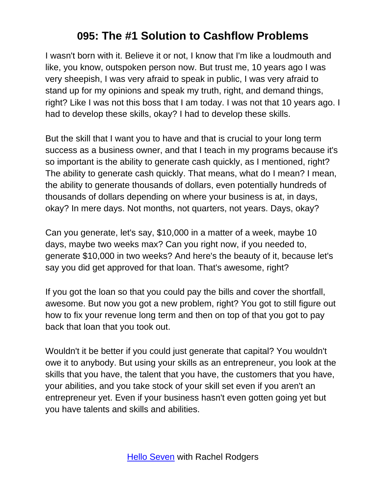I wasn't born with it. Believe it or not, I know that I'm like a loudmouth and like, you know, outspoken person now. But trust me, 10 years ago I was very sheepish, I was very afraid to speak in public, I was very afraid to stand up for my opinions and speak my truth, right, and demand things, right? Like I was not this boss that I am today. I was not that 10 years ago. I had to develop these skills, okay? I had to develop these skills.

But the skill that I want you to have and that is crucial to your long term success as a business owner, and that I teach in my programs because it's so important is the ability to generate cash quickly, as I mentioned, right? The ability to generate cash quickly. That means, what do I mean? I mean, the ability to generate thousands of dollars, even potentially hundreds of thousands of dollars depending on where your business is at, in days, okay? In mere days. Not months, not quarters, not years. Days, okay?

Can you generate, let's say, \$10,000 in a matter of a week, maybe 10 days, maybe two weeks max? Can you right now, if you needed to, generate \$10,000 in two weeks? And here's the beauty of it, because let's say you did get approved for that loan. That's awesome, right?

If you got the loan so that you could pay the bills and cover the shortfall, awesome. But now you got a new problem, right? You got to still figure out how to fix your revenue long term and then on top of that you got to pay back that loan that you took out.

Wouldn't it be better if you could just generate that capital? You wouldn't owe it to anybody. But using your skills as an entrepreneur, you look at the skills that you have, the talent that you have, the customers that you have, your abilities, and you take stock of your skill set even if you aren't an entrepreneur yet. Even if your business hasn't even gotten going yet but you have talents and skills and abilities.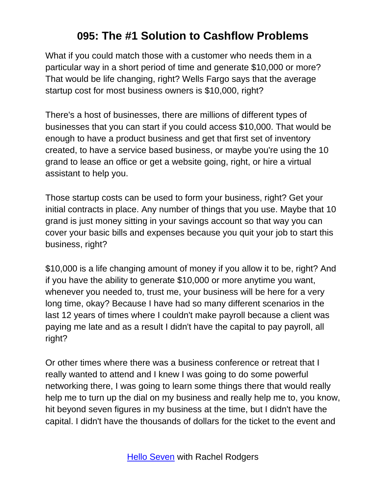What if you could match those with a customer who needs them in a particular way in a short period of time and generate \$10,000 or more? That would be life changing, right? Wells Fargo says that the average startup cost for most business owners is \$10,000, right?

There's a host of businesses, there are millions of different types of businesses that you can start if you could access \$10,000. That would be enough to have a product business and get that first set of inventory created, to have a service based business, or maybe you're using the 10 grand to lease an office or get a website going, right, or hire a virtual assistant to help you.

Those startup costs can be used to form your business, right? Get your initial contracts in place. Any number of things that you use. Maybe that 10 grand is just money sitting in your savings account so that way you can cover your basic bills and expenses because you quit your job to start this business, right?

\$10,000 is a life changing amount of money if you allow it to be, right? And if you have the ability to generate \$10,000 or more anytime you want, whenever you needed to, trust me, your business will be here for a very long time, okay? Because I have had so many different scenarios in the last 12 years of times where I couldn't make payroll because a client was paying me late and as a result I didn't have the capital to pay payroll, all right?

Or other times where there was a business conference or retreat that I really wanted to attend and I knew I was going to do some powerful networking there, I was going to learn some things there that would really help me to turn up the dial on my business and really help me to, you know, hit beyond seven figures in my business at the time, but I didn't have the capital. I didn't have the thousands of dollars for the ticket to the event and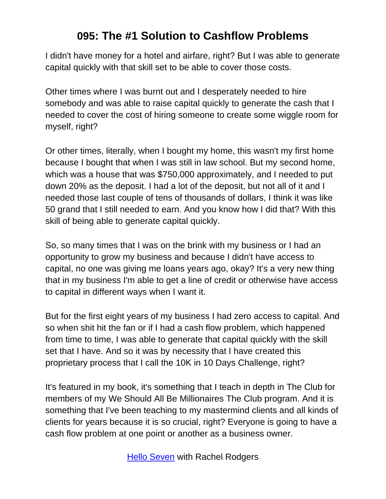I didn't have money for a hotel and airfare, right? But I was able to generate capital quickly with that skill set to be able to cover those costs.

Other times where I was burnt out and I desperately needed to hire somebody and was able to raise capital quickly to generate the cash that I needed to cover the cost of hiring someone to create some wiggle room for myself, right?

Or other times, literally, when I bought my home, this wasn't my first home because I bought that when I was still in law school. But my second home, which was a house that was \$750,000 approximately, and I needed to put down 20% as the deposit. I had a lot of the deposit, but not all of it and I needed those last couple of tens of thousands of dollars, I think it was like 50 grand that I still needed to earn. And you know how I did that? With this skill of being able to generate capital quickly.

So, so many times that I was on the brink with my business or I had an opportunity to grow my business and because I didn't have access to capital, no one was giving me loans years ago, okay? It's a very new thing that in my business I'm able to get a line of credit or otherwise have access to capital in different ways when I want it.

But for the first eight years of my business I had zero access to capital. And so when shit hit the fan or if I had a cash flow problem, which happened from time to time, I was able to generate that capital quickly with the skill set that I have. And so it was by necessity that I have created this proprietary process that I call the 10K in 10 Days Challenge, right?

It's featured in my book, it's something that I teach in depth in The Club for members of my We Should All Be Millionaires The Club program. And it is something that I've been teaching to my mastermind clients and all kinds of clients for years because it is so crucial, right? Everyone is going to have a cash flow problem at one point or another as a business owner.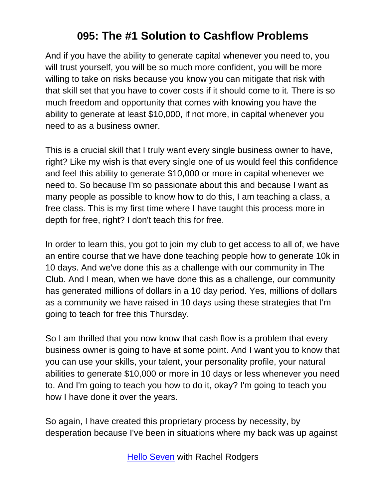And if you have the ability to generate capital whenever you need to, you will trust yourself, you will be so much more confident, you will be more willing to take on risks because you know you can mitigate that risk with that skill set that you have to cover costs if it should come to it. There is so much freedom and opportunity that comes with knowing you have the ability to generate at least \$10,000, if not more, in capital whenever you need to as a business owner.

This is a crucial skill that I truly want every single business owner to have, right? Like my wish is that every single one of us would feel this confidence and feel this ability to generate \$10,000 or more in capital whenever we need to. So because I'm so passionate about this and because I want as many people as possible to know how to do this, I am teaching a class, a free class. This is my first time where I have taught this process more in depth for free, right? I don't teach this for free.

In order to learn this, you got to join my club to get access to all of, we have an entire course that we have done teaching people how to generate 10k in 10 days. And we've done this as a challenge with our community in The Club. And I mean, when we have done this as a challenge, our community has generated millions of dollars in a 10 day period. Yes, millions of dollars as a community we have raised in 10 days using these strategies that I'm going to teach for free this Thursday.

So I am thrilled that you now know that cash flow is a problem that every business owner is going to have at some point. And I want you to know that you can use your skills, your talent, your personality profile, your natural abilities to generate \$10,000 or more in 10 days or less whenever you need to. And I'm going to teach you how to do it, okay? I'm going to teach you how I have done it over the years.

So again, I have created this proprietary process by necessity, by desperation because I've been in situations where my back was up against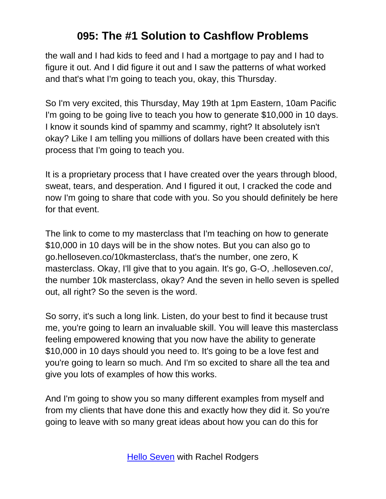the wall and I had kids to feed and I had a mortgage to pay and I had to figure it out. And I did figure it out and I saw the patterns of what worked and that's what I'm going to teach you, okay, this Thursday.

So I'm very excited, this Thursday, May 19th at 1pm Eastern, 10am Pacific I'm going to be going live to teach you how to generate \$10,000 in 10 days. I know it sounds kind of spammy and scammy, right? It absolutely isn't okay? Like I am telling you millions of dollars have been created with this process that I'm going to teach you.

It is a proprietary process that I have created over the years through blood, sweat, tears, and desperation. And I figured it out, I cracked the code and now I'm going to share that code with you. So you should definitely be here for that event.

The link to come to my masterclass that I'm teaching on how to generate \$10,000 in 10 days will be in the show notes. But you can also go to go.helloseven.co/10kmasterclass, that's the number, one zero, K masterclass. Okay, I'll give that to you again. It's go, G-O, .helloseven.co/, the number 10k masterclass, okay? And the seven in hello seven is spelled out, all right? So the seven is the word.

So sorry, it's such a long link. Listen, do your best to find it because trust me, you're going to learn an invaluable skill. You will leave this masterclass feeling empowered knowing that you now have the ability to generate \$10,000 in 10 days should you need to. It's going to be a love fest and you're going to learn so much. And I'm so excited to share all the tea and give you lots of examples of how this works.

And I'm going to show you so many different examples from myself and from my clients that have done this and exactly how they did it. So you're going to leave with so many great ideas about how you can do this for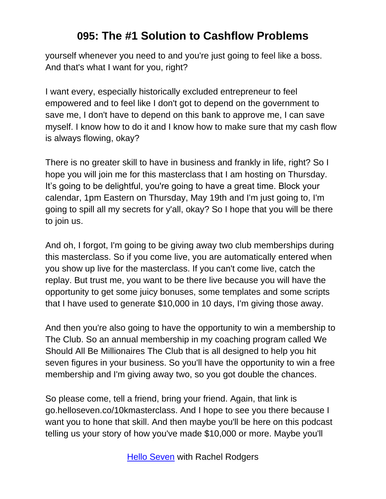yourself whenever you need to and you're just going to feel like a boss. And that's what I want for you, right?

I want every, especially historically excluded entrepreneur to feel empowered and to feel like I don't got to depend on the government to save me, I don't have to depend on this bank to approve me, I can save myself. I know how to do it and I know how to make sure that my cash flow is always flowing, okay?

There is no greater skill to have in business and frankly in life, right? So I hope you will join me for this masterclass that I am hosting on Thursday. It's going to be delightful, you're going to have a great time. Block your calendar, 1pm Eastern on Thursday, May 19th and I'm just going to, I'm going to spill all my secrets for y'all, okay? So I hope that you will be there to join us.

And oh, I forgot, I'm going to be giving away two club memberships during this masterclass. So if you come live, you are automatically entered when you show up live for the masterclass. If you can't come live, catch the replay. But trust me, you want to be there live because you will have the opportunity to get some juicy bonuses, some templates and some scripts that I have used to generate \$10,000 in 10 days, I'm giving those away.

And then you're also going to have the opportunity to win a membership to The Club. So an annual membership in my coaching program called We Should All Be Millionaires The Club that is all designed to help you hit seven figures in your business. So you'll have the opportunity to win a free membership and I'm giving away two, so you got double the chances.

So please come, tell a friend, bring your friend. Again, that link is go.helloseven.co/10kmasterclass. And I hope to see you there because I want you to hone that skill. And then maybe you'll be here on this podcast telling us your story of how you've made \$10,000 or more. Maybe you'll